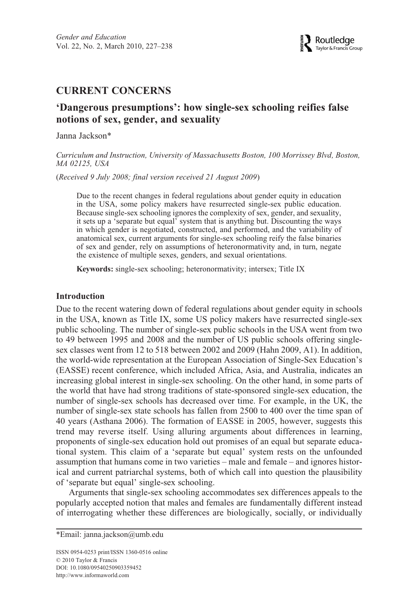# **CURRENT CONCERNS**

# **'Dangerous presumptions': how single-sex schooling reifies false notions of sex, gender, and sexuality**

Janna Jackson\*

*Curriculum and Instruction, University of Massachusetts Boston, 100 Morrissey Blvd, Boston, MA 02125, USA*

(*Received 9 July 2008; final version received 21 August 2009*)

Due to the recent changes in federal regulations about gender equity in education in the USA, some policy makers have resurrected single-sex public education. Because single-sex schooling ignores the complexity of sex, gender, and sexuality, it sets up a 'separate but equal' system that is anything but. Discounting the ways in which gender is negotiated, constructed, and performed, and the variability of anatomical sex, current arguments for single-sex schooling reify the false binaries of sex and gender, rely on assumptions of heteronormativity and, in turn, negate the existence of multiple sexes, genders, and sexual orientations.

**Keywords:** single-sex schooling; heteronormativity; intersex; Title IX

# **Introduction**

Due to the recent watering down of federal regulations about gender equity in schools in the USA, known as Title IX, some US policy makers have resurrected single-sex public schooling. The number of single-sex public schools in the USA went from two to 49 between 1995 and 2008 and the number of US public schools offering singlesex classes went from 12 to 518 between 2002 and 2009 (Hahn 2009, A1). In addition, the world-wide representation at the European Association of Single-Sex Education's (EASSE) recent conference, which included Africa, Asia, and Australia, indicates an increasing global interest in single-sex schooling. On the other hand, in some parts of the world that have had strong traditions of state-sponsored single-sex education, the number of single-sex schools has decreased over time. For example, in the UK, the number of single-sex state schools has fallen from 2500 to 400 over the time span of 40 years (Asthana 2006). The formation of EASSE in 2005, however, suggests this trend may reverse itself. Using alluring arguments about differences in learning, proponents of single-sex education hold out promises of an equal but separate educational system. This claim of a 'separate but equal' system rests on the unfounded assumption that humans come in two varieties – male and female – and ignores historical and current patriarchal systems, both of which call into question the plausibility of 'separate but equal' single-sex schooling.

Arguments that single-sex schooling accommodates sex differences appeals to the popularly accepted notion that males and females are fundamentally different instead of interrogating whether these differences are biologically, socially, or individually

\*Email: janna.jackson@umb.edu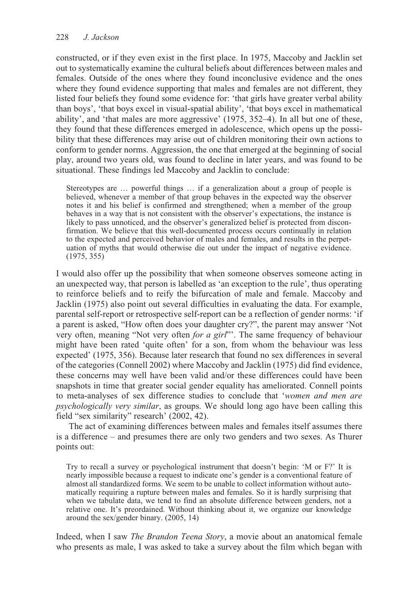constructed, or if they even exist in the first place. In 1975, Maccoby and Jacklin set out to systematically examine the cultural beliefs about differences between males and females. Outside of the ones where they found inconclusive evidence and the ones where they found evidence supporting that males and females are not different, they listed four beliefs they found some evidence for: 'that girls have greater verbal ability than boys', 'that boys excel in visual-spatial ability', 'that boys excel in mathematical ability', and 'that males are more aggressive' (1975, 352–4). In all but one of these, they found that these differences emerged in adolescence, which opens up the possibility that these differences may arise out of children monitoring their own actions to conform to gender norms. Aggression, the one that emerged at the beginning of social play, around two years old, was found to decline in later years, and was found to be situational. These findings led Maccoby and Jacklin to conclude:

Stereotypes are … powerful things … if a generalization about a group of people is believed, whenever a member of that group behaves in the expected way the observer notes it and his belief is confirmed and strengthened; when a member of the group behaves in a way that is not consistent with the observer's expectations, the instance is likely to pass unnoticed, and the observer's generalized belief is protected from disconfirmation. We believe that this well-documented process occurs continually in relation to the expected and perceived behavior of males and females, and results in the perpetuation of myths that would otherwise die out under the impact of negative evidence. (1975, 355)

I would also offer up the possibility that when someone observes someone acting in an unexpected way, that person is labelled as 'an exception to the rule', thus operating to reinforce beliefs and to reify the bifurcation of male and female. Maccoby and Jacklin (1975) also point out several difficulties in evaluating the data. For example, parental self-report or retrospective self-report can be a reflection of gender norms: 'if a parent is asked, "How often does your daughter cry?", the parent may answer 'Not very often, meaning "Not very often *for a girl*"'. The same frequency of behaviour might have been rated 'quite often' for a son, from whom the behaviour was less expected' (1975, 356). Because later research that found no sex differences in several of the categories (Connell 2002) where Maccoby and Jacklin (1975) did find evidence, these concerns may well have been valid and/or these differences could have been snapshots in time that greater social gender equality has ameliorated. Connell points to meta-analyses of sex difference studies to conclude that '*women and men are psychologically very similar*, as groups. We should long ago have been calling this field "sex similarity" research' (2002, 42).

The act of examining differences between males and females itself assumes there is a difference – and presumes there are only two genders and two sexes. As Thurer points out:

Try to recall a survey or psychological instrument that doesn't begin: 'M or F?' It is nearly impossible because a request to indicate one's gender is a conventional feature of almost all standardized forms. We seem to be unable to collect information without automatically requiring a rupture between males and females. So it is hardly surprising that when we tabulate data, we tend to find an absolute difference between genders, not a relative one. It's preordained. Without thinking about it, we organize our knowledge around the sex/gender binary. (2005, 14)

Indeed, when I saw *The Brandon Teena Story*, a movie about an anatomical female who presents as male, I was asked to take a survey about the film which began with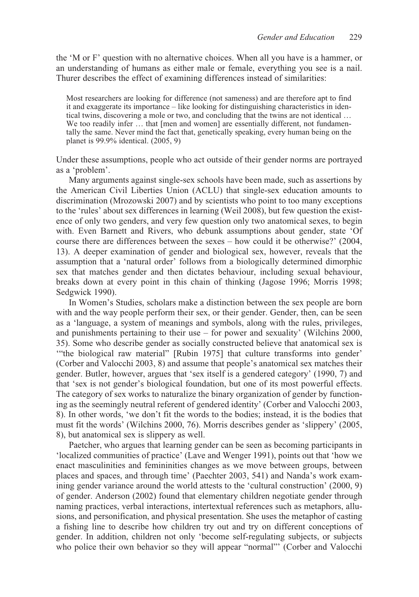the 'M or F' question with no alternative choices. When all you have is a hammer, or an understanding of humans as either male or female, everything you see is a nail. Thurer describes the effect of examining differences instead of similarities:

Most researchers are looking for difference (not sameness) and are therefore apt to find it and exaggerate its importance – like looking for distinguishing characteristics in identical twins, discovering a mole or two, and concluding that the twins are not identical … We too readily infer ... that [men and women] are essentially different, not fundamentally the same. Never mind the fact that, genetically speaking, every human being on the planet is 99.9% identical. (2005, 9)

Under these assumptions, people who act outside of their gender norms are portrayed as a 'problem'.

Many arguments against single-sex schools have been made, such as assertions by the American Civil Liberties Union (ACLU) that single-sex education amounts to discrimination (Mrozowski 2007) and by scientists who point to too many exceptions to the 'rules' about sex differences in learning (Weil 2008), but few question the existence of only two genders, and very few question only two anatomical sexes, to begin with. Even Barnett and Rivers, who debunk assumptions about gender, state 'Of course there are differences between the sexes – how could it be otherwise?' (2004, 13). A deeper examination of gender and biological sex, however, reveals that the assumption that a 'natural order' follows from a biologically determined dimorphic sex that matches gender and then dictates behaviour, including sexual behaviour, breaks down at every point in this chain of thinking (Jagose 1996; Morris 1998; Sedgwick 1990).

In Women's Studies, scholars make a distinction between the sex people are born with and the way people perform their sex, or their gender. Gender, then, can be seen as a 'language, a system of meanings and symbols, along with the rules, privileges, and punishments pertaining to their use  $-$  for power and sexuality' (Wilchins 2000, 35). Some who describe gender as socially constructed believe that anatomical sex is "the biological raw material" [Rubin 1975] that culture transforms into gender' (Corber and Valocchi 2003, 8) and assume that people's anatomical sex matches their gender. Butler, however, argues that 'sex itself is a gendered category' (1990, 7) and that 'sex is not gender's biological foundation, but one of its most powerful effects. The category of sex works to naturalize the binary organization of gender by functioning as the seemingly neutral referent of gendered identity' (Corber and Valocchi 2003, 8). In other words, 'we don't fit the words to the bodies; instead, it is the bodies that must fit the words' (Wilchins 2000, 76). Morris describes gender as 'slippery' (2005, 8), but anatomical sex is slippery as well.

Paetcher, who argues that learning gender can be seen as becoming participants in 'localized communities of practice' (Lave and Wenger 1991), points out that 'how we enact masculinities and femininities changes as we move between groups, between places and spaces, and through time' (Paechter 2003, 541) and Nanda's work examining gender variance around the world attests to the 'cultural construction' (2000, 9) of gender. Anderson (2002) found that elementary children negotiate gender through naming practices, verbal interactions, intertextual references such as metaphors, allusions, and personification, and physical presentation. She uses the metaphor of casting a fishing line to describe how children try out and try on different conceptions of gender. In addition, children not only 'become self-regulating subjects, or subjects who police their own behavior so they will appear "normal"' (Corber and Valocchi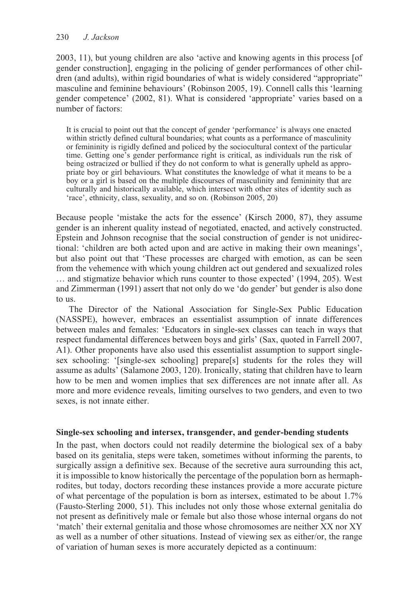2003, 11), but young children are also 'active and knowing agents in this process [of gender construction], engaging in the policing of gender performances of other children (and adults), within rigid boundaries of what is widely considered "appropriate" masculine and feminine behaviours' (Robinson 2005, 19). Connell calls this 'learning gender competence' (2002, 81). What is considered 'appropriate' varies based on a number of factors:

It is crucial to point out that the concept of gender 'performance' is always one enacted within strictly defined cultural boundaries; what counts as a performance of masculinity or femininity is rigidly defined and policed by the sociocultural context of the particular time. Getting one's gender performance right is critical, as individuals run the risk of being ostracized or bullied if they do not conform to what is generally upheld as appropriate boy or girl behaviours. What constitutes the knowledge of what it means to be a boy or a girl is based on the multiple discourses of masculinity and femininity that are culturally and historically available, which intersect with other sites of identity such as 'race', ethnicity, class, sexuality, and so on. (Robinson 2005, 20)

Because people 'mistake the acts for the essence' (Kirsch 2000, 87), they assume gender is an inherent quality instead of negotiated, enacted, and actively constructed. Epstein and Johnson recognise that the social construction of gender is not unidirectional: 'children are both acted upon and are active in making their own meanings', but also point out that 'These processes are charged with emotion, as can be seen from the vehemence with which young children act out gendered and sexualized roles … and stigmatize behavior which runs counter to those expected' (1994, 205). West and Zimmerman (1991) assert that not only do we 'do gender' but gender is also done to us.

The Director of the National Association for Single-Sex Public Education (NASSPE), however, embraces an essentialist assumption of innate differences between males and females: 'Educators in single-sex classes can teach in ways that respect fundamental differences between boys and girls' (Sax, quoted in Farrell 2007, A1). Other proponents have also used this essentialist assumption to support singlesex schooling: '[single-sex schooling] prepare[s] students for the roles they will assume as adults' (Salamone 2003, 120). Ironically, stating that children have to learn how to be men and women implies that sex differences are not innate after all. As more and more evidence reveals, limiting ourselves to two genders, and even to two sexes, is not innate either.

# **Single-sex schooling and intersex, transgender, and gender-bending students**

In the past, when doctors could not readily determine the biological sex of a baby based on its genitalia, steps were taken, sometimes without informing the parents, to surgically assign a definitive sex. Because of the secretive aura surrounding this act, it is impossible to know historically the percentage of the population born as hermaphrodites, but today, doctors recording these instances provide a more accurate picture of what percentage of the population is born as intersex, estimated to be about 1.7% (Fausto-Sterling 2000, 51). This includes not only those whose external genitalia do not present as definitively male or female but also those whose internal organs do not 'match' their external genitalia and those whose chromosomes are neither XX nor XY as well as a number of other situations. Instead of viewing sex as either/or, the range of variation of human sexes is more accurately depicted as a continuum: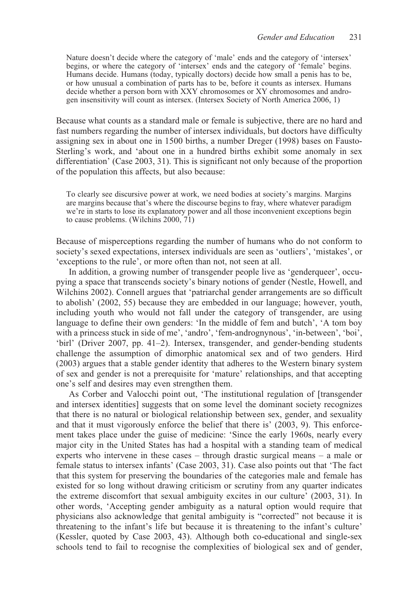Nature doesn't decide where the category of 'male' ends and the category of 'intersex' begins, or where the category of 'intersex' ends and the category of 'female' begins. Humans decide. Humans (today, typically doctors) decide how small a penis has to be, or how unusual a combination of parts has to be, before it counts as intersex. Humans decide whether a person born with XXY chromosomes or XY chromosomes and androgen insensitivity will count as intersex. (Intersex Society of North America 2006, 1)

Because what counts as a standard male or female is subjective, there are no hard and fast numbers regarding the number of intersex individuals, but doctors have difficulty assigning sex in about one in 1500 births, a number Dreger (1998) bases on Fausto-Sterling's work, and 'about one in a hundred births exhibit some anomaly in sex differentiation' (Case 2003, 31). This is significant not only because of the proportion of the population this affects, but also because:

To clearly see discursive power at work, we need bodies at society's margins. Margins are margins because that's where the discourse begins to fray, where whatever paradigm we're in starts to lose its explanatory power and all those inconvenient exceptions begin to cause problems. (Wilchins 2000, 71)

Because of misperceptions regarding the number of humans who do not conform to society's sexed expectations, intersex individuals are seen as 'outliers', 'mistakes', or 'exceptions to the rule', or more often than not, not seen at all.

In addition, a growing number of transgender people live as 'genderqueer', occupying a space that transcends society's binary notions of gender (Nestle, Howell, and Wilchins 2002). Connell argues that 'patriarchal gender arrangements are so difficult to abolish' (2002, 55) because they are embedded in our language; however, youth, including youth who would not fall under the category of transgender, are using language to define their own genders: 'In the middle of fem and butch', 'A tom boy with a princess stuck in side of me', 'andro', 'fem-andrognynous', 'in-between', 'boi', 'birl' (Driver 2007, pp. 41–2). Intersex, transgender, and gender-bending students challenge the assumption of dimorphic anatomical sex and of two genders. Hird (2003) argues that a stable gender identity that adheres to the Western binary system of sex and gender is not a prerequisite for 'mature' relationships, and that accepting one's self and desires may even strengthen them.

As Corber and Valocchi point out, 'The institutional regulation of [transgender and intersex identities] suggests that on some level the dominant society recognizes that there is no natural or biological relationship between sex, gender, and sexuality and that it must vigorously enforce the belief that there is' (2003, 9). This enforcement takes place under the guise of medicine: 'Since the early 1960s, nearly every major city in the United States has had a hospital with a standing team of medical experts who intervene in these cases – through drastic surgical means – a male or female status to intersex infants' (Case 2003, 31). Case also points out that 'The fact that this system for preserving the boundaries of the categories male and female has existed for so long without drawing criticism or scrutiny from any quarter indicates the extreme discomfort that sexual ambiguity excites in our culture' (2003, 31). In other words, 'Accepting gender ambiguity as a natural option would require that physicians also acknowledge that genital ambiguity is "corrected" not because it is threatening to the infant's life but because it is threatening to the infant's culture' (Kessler, quoted by Case 2003, 43). Although both co-educational and single-sex schools tend to fail to recognise the complexities of biological sex and of gender,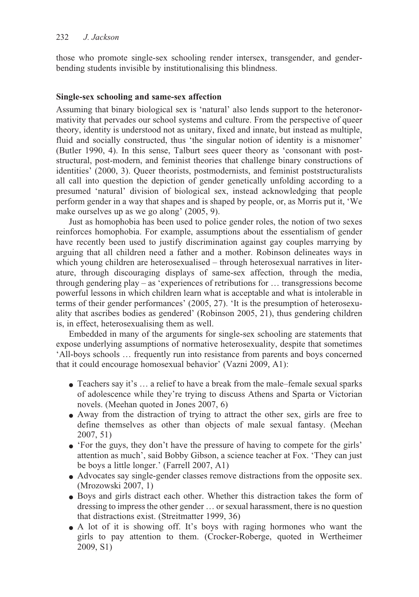those who promote single-sex schooling render intersex, transgender, and genderbending students invisible by institutionalising this blindness.

### **Single-sex schooling and same-sex affection**

Assuming that binary biological sex is 'natural' also lends support to the heteronormativity that pervades our school systems and culture. From the perspective of queer theory, identity is understood not as unitary, fixed and innate, but instead as multiple, fluid and socially constructed, thus 'the singular notion of identity is a misnomer' (Butler 1990, 4). In this sense, Talburt sees queer theory as 'consonant with poststructural, post-modern, and feminist theories that challenge binary constructions of identities' (2000, 3). Queer theorists, postmodernists, and feminist poststructuralists all call into question the depiction of gender genetically unfolding according to a presumed 'natural' division of biological sex, instead acknowledging that people perform gender in a way that shapes and is shaped by people, or, as Morris put it, 'We make ourselves up as we go along' (2005, 9).

Just as homophobia has been used to police gender roles, the notion of two sexes reinforces homophobia. For example, assumptions about the essentialism of gender have recently been used to justify discrimination against gay couples marrying by arguing that all children need a father and a mother. Robinson delineates ways in which young children are heterosexualised – through heterosexual narratives in literature, through discouraging displays of same-sex affection, through the media, through gendering play – as 'experiences of retributions for … transgressions become powerful lessons in which children learn what is acceptable and what is intolerable in terms of their gender performances' (2005, 27). 'It is the presumption of heterosexuality that ascribes bodies as gendered' (Robinson 2005, 21), thus gendering children is, in effect, heterosexualising them as well.

Embedded in many of the arguments for single-sex schooling are statements that expose underlying assumptions of normative heterosexuality, despite that sometimes 'All-boys schools … frequently run into resistance from parents and boys concerned that it could encourage homosexual behavior' (Vazni 2009, A1):

- Teachers say it's … a relief to have a break from the male–female sexual sparks of adolescence while they're trying to discuss Athens and Sparta or Victorian novels. (Meehan quoted in Jones 2007, 6)
- Away from the distraction of trying to attract the other sex, girls are free to define themselves as other than objects of male sexual fantasy. (Meehan 2007, 51)
- 'For the guys, they don't have the pressure of having to compete for the girls' attention as much', said Bobby Gibson, a science teacher at Fox. 'They can just be boys a little longer.' (Farrell 2007, A1)
- Advocates say single-gender classes remove distractions from the opposite sex. (Mrozowski 2007, 1)
- Boys and girls distract each other. Whether this distraction takes the form of dressing to impress the other gender … or sexual harassment, there is no question that distractions exist. (Streitmatter 1999, 36)
- A lot of it is showing off. It's boys with raging hormones who want the girls to pay attention to them. (Crocker-Roberge, quoted in Wertheimer 2009, S1)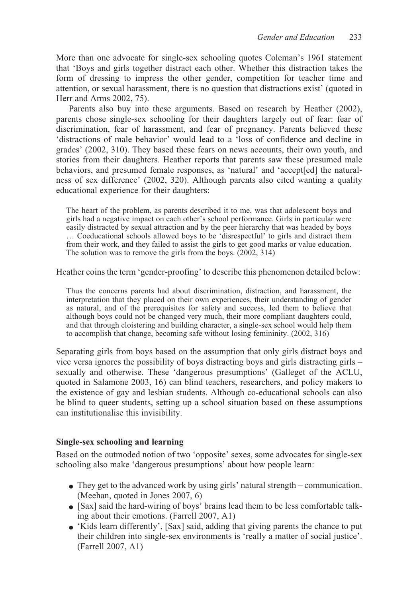More than one advocate for single-sex schooling quotes Coleman's 1961 statement that 'Boys and girls together distract each other. Whether this distraction takes the form of dressing to impress the other gender, competition for teacher time and attention, or sexual harassment, there is no question that distractions exist' (quoted in Herr and Arms 2002, 75).

Parents also buy into these arguments. Based on research by Heather (2002), parents chose single-sex schooling for their daughters largely out of fear: fear of discrimination, fear of harassment, and fear of pregnancy. Parents believed these 'distractions of male behavior' would lead to a 'loss of confidence and decline in grades' (2002, 310). They based these fears on news accounts, their own youth, and stories from their daughters. Heather reports that parents saw these presumed male behaviors, and presumed female responses, as 'natural' and 'accept[ed] the naturalness of sex difference' (2002, 320). Although parents also cited wanting a quality educational experience for their daughters:

The heart of the problem, as parents described it to me, was that adolescent boys and girls had a negative impact on each other's school performance. Girls in particular were easily distracted by sexual attraction and by the peer hierarchy that was headed by boys … Coeducational schools allowed boys to be 'disrespectful' to girls and distract them from their work, and they failed to assist the girls to get good marks or value education. The solution was to remove the girls from the boys. (2002, 314)

Heather coins the term 'gender-proofing' to describe this phenomenon detailed below:

Thus the concerns parents had about discrimination, distraction, and harassment, the interpretation that they placed on their own experiences, their understanding of gender as natural, and of the prerequisites for safety and success, led them to believe that although boys could not be changed very much, their more compliant daughters could, and that through cloistering and building character, a single-sex school would help them to accomplish that change, becoming safe without losing femininity. (2002, 316)

Separating girls from boys based on the assumption that only girls distract boys and vice versa ignores the possibility of boys distracting boys and girls distracting girls – sexually and otherwise. These 'dangerous presumptions' (Galleget of the ACLU, quoted in Salamone 2003, 16) can blind teachers, researchers, and policy makers to the existence of gay and lesbian students. Although co-educational schools can also be blind to queer students, setting up a school situation based on these assumptions can institutionalise this invisibility.

# **Single-sex schooling and learning**

Based on the outmoded notion of two 'opposite' sexes, some advocates for single-sex schooling also make 'dangerous presumptions' about how people learn:

- They get to the advanced work by using girls' natural strength communication. (Meehan, quoted in Jones 2007, 6)
- [Sax] said the hard-wiring of boys' brains lead them to be less comfortable talking about their emotions. (Farrell 2007, A1)
- 'Kids learn differently', [Sax] said, adding that giving parents the chance to put their children into single-sex environments is 'really a matter of social justice'. (Farrell 2007, A1)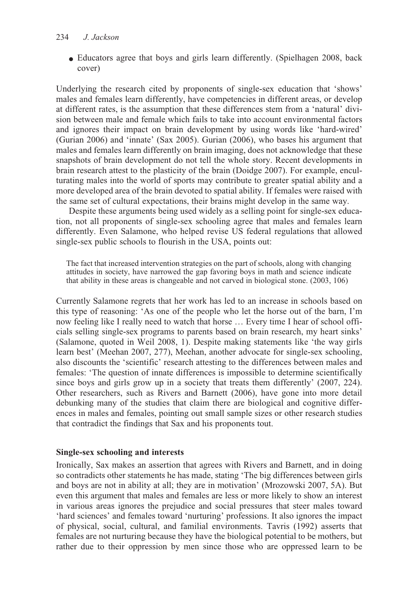• Educators agree that boys and girls learn differently. (Spielhagen 2008, back cover)

Underlying the research cited by proponents of single-sex education that 'shows' males and females learn differently, have competencies in different areas, or develop at different rates, is the assumption that these differences stem from a 'natural' division between male and female which fails to take into account environmental factors and ignores their impact on brain development by using words like 'hard-wired' (Gurian 2006) and 'innate' (Sax 2005). Gurian (2006), who bases his argument that males and females learn differently on brain imaging, does not acknowledge that these snapshots of brain development do not tell the whole story. Recent developments in brain research attest to the plasticity of the brain (Doidge 2007). For example, enculturating males into the world of sports may contribute to greater spatial ability and a more developed area of the brain devoted to spatial ability. If females were raised with the same set of cultural expectations, their brains might develop in the same way.

Despite these arguments being used widely as a selling point for single-sex education, not all proponents of single-sex schooling agree that males and females learn differently. Even Salamone, who helped revise US federal regulations that allowed single-sex public schools to flourish in the USA, points out:

The fact that increased intervention strategies on the part of schools, along with changing attitudes in society, have narrowed the gap favoring boys in math and science indicate that ability in these areas is changeable and not carved in biological stone. (2003, 106)

Currently Salamone regrets that her work has led to an increase in schools based on this type of reasoning: 'As one of the people who let the horse out of the barn, I'm now feeling like I really need to watch that horse … Every time I hear of school officials selling single-sex programs to parents based on brain research, my heart sinks' (Salamone, quoted in Weil 2008, 1). Despite making statements like 'the way girls learn best' (Meehan 2007, 277), Meehan, another advocate for single-sex schooling, also discounts the 'scientific' research attesting to the differences between males and females: 'The question of innate differences is impossible to determine scientifically since boys and girls grow up in a society that treats them differently' (2007, 224). Other researchers, such as Rivers and Barnett (2006), have gone into more detail debunking many of the studies that claim there are biological and cognitive differences in males and females, pointing out small sample sizes or other research studies that contradict the findings that Sax and his proponents tout.

# **Single-sex schooling and interests**

Ironically, Sax makes an assertion that agrees with Rivers and Barnett, and in doing so contradicts other statements he has made, stating 'The big differences between girls and boys are not in ability at all; they are in motivation' (Mrozowski 2007, 5A). But even this argument that males and females are less or more likely to show an interest in various areas ignores the prejudice and social pressures that steer males toward 'hard sciences' and females toward 'nurturing' professions. It also ignores the impact of physical, social, cultural, and familial environments. Tavris (1992) asserts that females are not nurturing because they have the biological potential to be mothers, but rather due to their oppression by men since those who are oppressed learn to be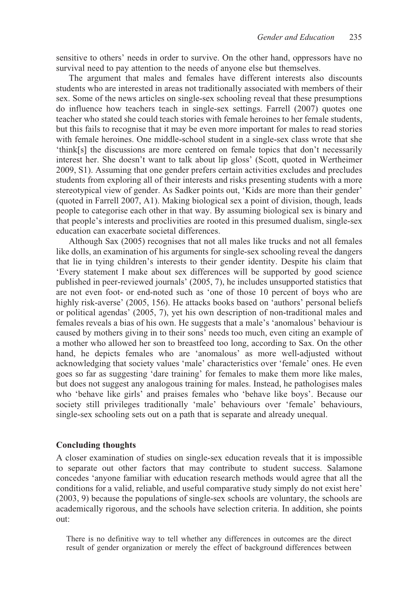sensitive to others' needs in order to survive. On the other hand, oppressors have no survival need to pay attention to the needs of anyone else but themselves.

The argument that males and females have different interests also discounts students who are interested in areas not traditionally associated with members of their sex. Some of the news articles on single-sex schooling reveal that these presumptions do influence how teachers teach in single-sex settings. Farrell (2007) quotes one teacher who stated she could teach stories with female heroines to her female students, but this fails to recognise that it may be even more important for males to read stories with female heroines. One middle-school student in a single-sex class wrote that she 'think[s] the discussions are more centered on female topics that don't necessarily interest her. She doesn't want to talk about lip gloss' (Scott, quoted in Wertheimer 2009, S1). Assuming that one gender prefers certain activities excludes and precludes students from exploring all of their interests and risks presenting students with a more stereotypical view of gender. As Sadker points out, 'Kids are more than their gender' (quoted in Farrell 2007, A1). Making biological sex a point of division, though, leads people to categorise each other in that way. By assuming biological sex is binary and that people's interests and proclivities are rooted in this presumed dualism, single-sex education can exacerbate societal differences.

Although Sax (2005) recognises that not all males like trucks and not all females like dolls, an examination of his arguments for single-sex schooling reveal the dangers that lie in tying children's interests to their gender identity. Despite his claim that 'Every statement I make about sex differences will be supported by good science published in peer-reviewed journals' (2005, 7), he includes unsupported statistics that are not even foot- or end-noted such as 'one of those 10 percent of boys who are highly risk-averse' (2005, 156). He attacks books based on 'authors' personal beliefs or political agendas' (2005, 7), yet his own description of non-traditional males and females reveals a bias of his own. He suggests that a male's 'anomalous' behaviour is caused by mothers giving in to their sons' needs too much, even citing an example of a mother who allowed her son to breastfeed too long, according to Sax. On the other hand, he depicts females who are 'anomalous' as more well-adjusted without acknowledging that society values 'male' characteristics over 'female' ones. He even goes so far as suggesting 'dare training' for females to make them more like males, but does not suggest any analogous training for males. Instead, he pathologises males who 'behave like girls' and praises females who 'behave like boys'. Because our society still privileges traditionally 'male' behaviours over 'female' behaviours, single-sex schooling sets out on a path that is separate and already unequal.

#### **Concluding thoughts**

A closer examination of studies on single-sex education reveals that it is impossible to separate out other factors that may contribute to student success. Salamone concedes 'anyone familiar with education research methods would agree that all the conditions for a valid, reliable, and useful comparative study simply do not exist here' (2003, 9) because the populations of single-sex schools are voluntary, the schools are academically rigorous, and the schools have selection criteria. In addition, she points out:

There is no definitive way to tell whether any differences in outcomes are the direct result of gender organization or merely the effect of background differences between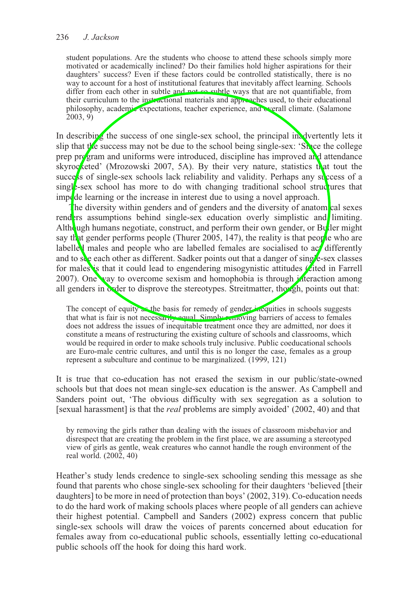student populations. Are the students who choose to attend these schools simply more motivated or academically inclined? Do their families hold higher aspirations for their daughters' success? Even if these factors could be controlled statistically, there is no way to account for a host of institutional features that inevitably affect learning. Schools differ from each other in subtle and not so subtle ways that are not quantifiable, from their curriculum to the instructional materials and approaches used, to their educational philosophy, academic expectations, teacher experience, and overall climate. (Salamone 2003, 9)

In describing the success of one single-sex school, the principal inadvertently lets it slip that the success may not be due to the school being single-sex: 'She ce the college's prep program and uniforms were introduced, discipline has improved and attendance skyrocketed' (Mrozowski 2007, 5A). By their very nature, statistics that tout the success of single-sex schools lack reliability and validity. Perhaps any success of a  $\frac{\sin\theta}{\csc^2\theta}$ -sex school has more to do with changing traditional school structures that impede learning or the increase in interest due to using a novel approach.

The diversity within genders and of genders and the diversity of anatom cal sexes rend<sub>ers</sub> assumptions behind single-sex education overly simplistic and limiting. Although humans negotiate, construct, and perform their own gender, or Butler might say that gender performs people (Thurer 2005, 147), the reality is that people who are labelled males and people who are labelled females are socialised to  $ac$  differently and to see each other as different. Sadker points out that a danger of single-sex classes for males is that it could lead to engendering misogynistic attitudes  $\ell$  dited in Farrell 2007). One way to overcome sexism and homophobia is through *interaction* among all genders in order to disprove the stereotypes. Streitmatter, though, points out that:

The concept of equity as the basis for remedy of gender inequities in schools suggests that what is fair is not necessarily equal. Simply removing barriers of access to females does not address the issues of inequitable treatment once they are admitted, nor does it constitute a means of restructuring the existing culture of schools and classrooms, which would be required in order to make schools truly inclusive. Public coeducational schools are Euro-male centric cultures, and until this is no longer the case, females as a group represent a subculture and continue to be marginalized. (1999, 121)

It is true that co-education has not erased the sexism in our public/state-owned schools but that does not mean single-sex education is the answer. As Campbell and Sanders point out, 'The obvious difficulty with sex segregation as a solution to [sexual harassment] is that the *real* problems are simply avoided' (2002, 40) and that

by removing the girls rather than dealing with the issues of classroom misbehavior and disrespect that are creating the problem in the first place, we are assuming a stereotyped view of girls as gentle, weak creatures who cannot handle the rough environment of the real world. (2002, 40)

Heather's study lends credence to single-sex schooling sending this message as she found that parents who chose single-sex schooling for their daughters 'believed [their daughters] to be more in need of protection than boys' (2002, 319). Co-education needs to do the hard work of making schools places where people of all genders can achieve their highest potential. Campbell and Sanders (2002) express concern that public single-sex schools will draw the voices of parents concerned about education for females away from co-educational public schools, essentially letting co-educational public schools off the hook for doing this hard work.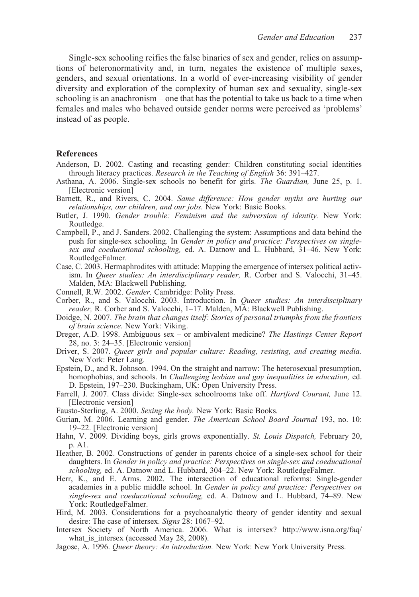Single-sex schooling reifies the false binaries of sex and gender, relies on assumptions of heteronormativity and, in turn, negates the existence of multiple sexes, genders, and sexual orientations. In a world of ever-increasing visibility of gender diversity and exploration of the complexity of human sex and sexuality, single-sex schooling is an anachronism – one that has the potential to take us back to a time when females and males who behaved outside gender norms were perceived as 'problems' instead of as people.

### **References**

- Anderson, D. 2002. Casting and recasting gender: Children constituting social identities through literacy practices. *Research in the Teaching of English* 36: 391–427.
- Asthana, A. 2006. Single-sex schools no benefit for girls. *The Guardian,* June 25, p. 1. [Electronic version]
- Barnett, R., and Rivers, C. 2004. *Same difference: How gender myths are hurting our relationships, our children, and our jobs.* New York: Basic Books.
- Butler, J. 1990. *Gender trouble: Feminism and the subversion of identity.* New York: Routledge.
- Campbell, P., and J. Sanders. 2002. Challenging the system: Assumptions and data behind the push for single-sex schooling. In *Gender in policy and practice: Perspectives on singlesex and coeducational schooling,* ed. A. Datnow and L. Hubbard, 31–46. New York: RoutledgeFalmer.
- Case, C. 2003. Hermaphrodites with attitude: Mapping the emergence of intersex political activism. In *Queer studies: An interdisciplinary reader,* R. Corber and S. Valocchi, 31–45. Malden, MA: Blackwell Publishing.
- Connell, R.W. 2002. *Gender.* Cambridge: Polity Press.
- Corber, R., and S. Valocchi. 2003. Introduction. In *Queer studies: An interdisciplinary reader,* R. Corber and S. Valocchi, 1–17. Malden, MA: Blackwell Publishing.
- Doidge, N. 2007. *The brain that changes itself: Stories of personal triumphs from the frontiers of brain science.* New York: Viking.
- Dreger, A.D. 1998. Ambiguous sex or ambivalent medicine? *The Hastings Center Report* 28, no. 3: 24–35. [Electronic version]
- Driver, S. 2007. *Queer girls and popular culture: Reading, resisting, and creating media.* New York: Peter Lang.
- Epstein, D., and R. Johnson. 1994. On the straight and narrow: The heterosexual presumption, homophobias, and schools. In *Challenging lesbian and gay inequalities in education,* ed. D. Epstein, 197–230. Buckingham, UK: Open University Press.
- Farrell, J. 2007. Class divide: Single-sex schoolrooms take off. *Hartford Courant,* June 12. [Electronic version]
- Fausto-Sterling, A. 2000. *Sexing the body.* New York: Basic Books.
- Gurian, M. 2006. Learning and gender. *The American School Board Journal* 193, no. 10: 19–22. [Electronic version]
- Hahn, V. 2009. Dividing boys, girls grows exponentially. *St. Louis Dispatch,* February 20, p. A1.
- Heather, B. 2002. Constructions of gender in parents choice of a single-sex school for their daughters. In *Gender in policy and practice: Perspectives on single-sex and coeducational schooling,* ed. A. Datnow and L. Hubbard, 304–22. New York: RoutledgeFalmer.
- Herr, K., and E. Arms. 2002. The intersection of educational reforms: Single-gender academies in a public middle school. In *Gender in policy and practice: Perspectives on single-sex and coeducational schooling,* ed. A. Datnow and L. Hubbard, 74–89. New York: RoutledgeFalmer.
- Hird, M. 2003. Considerations for a psychoanalytic theory of gender identity and sexual desire: The case of intersex. *Signs* 28: 1067–92.
- Intersex Society of North America. 2006. What is intersex? http://www.isna.org/faq/ what\_is\_intersex (accessed May 28, 2008).
- Jagose, A. 1996. *Queer theory: An introduction.* New York: New York University Press.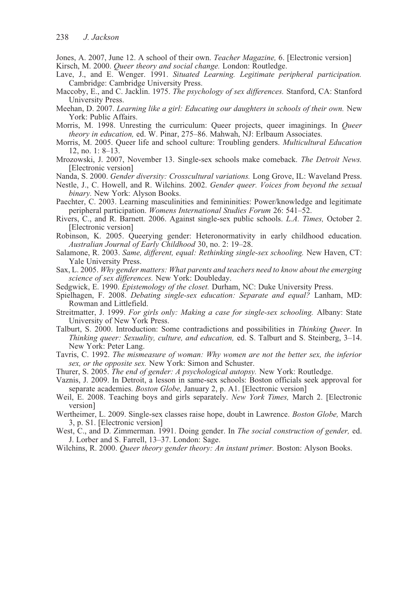- Jones, A. 2007, June 12. A school of their own. *Teacher Magazine,* 6. [Electronic version] Kirsch, M. 2000. *Queer theory and social change.* London: Routledge.
- Lave, J., and E. Wenger. 1991. *Situated Learning. Legitimate peripheral participation.* Cambridge: Cambridge University Press.
- Maccoby, E., and C. Jacklin. 1975. *The psychology of sex differences.* Stanford, CA: Stanford University Press.
- Meehan, D. 2007. *Learning like a girl: Educating our daughters in schools of their own.* New York: Public Affairs.
- Morris, M. 1998. Unresting the curriculum: Queer projects, queer imaginings. In *Queer theory in education,* ed. W. Pinar, 275–86. Mahwah, NJ: Erlbaum Associates.
- Morris, M. 2005. Queer life and school culture: Troubling genders. *Multicultural Education* 12, no. 1: 8–13.
- Mrozowski, J. 2007, November 13. Single-sex schools make comeback. *The Detroit News.* [Electronic version]
- Nanda, S. 2000. *Gender diversity: Crosscultural variations.* Long Grove, IL: Waveland Press.
- Nestle, J., C. Howell, and R. Wilchins. 2002. *Gender queer. Voices from beyond the sexual binary.* New York: Alyson Books.
- Paechter, C. 2003. Learning masculinities and femininities: Power/knowledge and legitimate peripheral participation. *Womens International Studies Forum* 26: 541–52.
- Rivers, C., and R. Barnett. 2006. Against single-sex public schools. *L.A. Times,* October 2. [Electronic version]
- Robinson, K. 2005. Queerying gender: Heteronormativity in early childhood education. *Australian Journal of Early Childhood* 30, no. 2: 19–28.
- Salamone, R. 2003. *Same, different, equal: Rethinking single-sex schooling.* New Haven, CT: Yale University Press.
- Sax, L. 2005. *Why gender matters: What parents and teachers need to know about the emerging science of sex differences.* New York: Doubleday.
- Sedgwick, E. 1990. *Epistemology of the closet.* Durham, NC: Duke University Press.
- Spielhagen, F. 2008. *Debating single-sex education: Separate and equal?* Lanham, MD: Rowman and Littlefield.
- Streitmatter, J. 1999. *For girls only: Making a case for single-sex schooling.* Albany: State University of New York Press.
- Talburt, S. 2000. Introduction: Some contradictions and possibilities in *Thinking Queer.* In *Thinking queer: Sexuality, culture, and education,* ed. S. Talburt and S. Steinberg, 3–14. New York: Peter Lang.
- Tavris, C. 1992. *The mismeasure of woman: Why women are not the better sex, the inferior sex, or the opposite sex.* New York: Simon and Schuster.
- Thurer, S. 2005. *The end of gender: A psychological autopsy.* New York: Routledge.
- Vaznis, J. 2009. In Detroit, a lesson in same-sex schools: Boston officials seek approval for separate academies. *Boston Globe,* January 2, p. A1. [Electronic version]
- Weil, E. 2008. Teaching boys and girls separately. *New York Times,* March 2. [Electronic version]
- Wertheimer, L. 2009. Single-sex classes raise hope, doubt in Lawrence. *Boston Globe,* March 3, p. S1. [Electronic version]
- West, C., and D. Zimmerman. 1991. Doing gender. In *The social construction of gender,* ed. J. Lorber and S. Farrell, 13–37. London: Sage.
- Wilchins, R. 2000. *Queer theory gender theory: An instant primer.* Boston: Alyson Books.